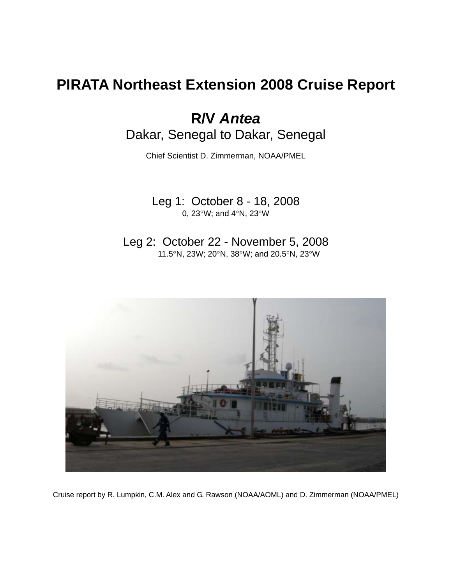# **PIRATA Northeast Extension 2008 Cruise Report**

**R/V** *Antea* Dakar, Senegal to Dakar, Senegal

Chief Scientist D. Zimmerman, NOAA/PMEL

Leg 1: October 8 - 18, 2008 0, 23°W; and 4°N, 23°W

Leg 2: October 22 - November 5, 2008 11.5°N, 23W; 20°N, 38°W; and 20.5°N, 23°W



Cruise report by R. Lumpkin, C.M. Alex and G. Rawson (NOAA/AOML) and D. Zimmerman (NOAA/PMEL)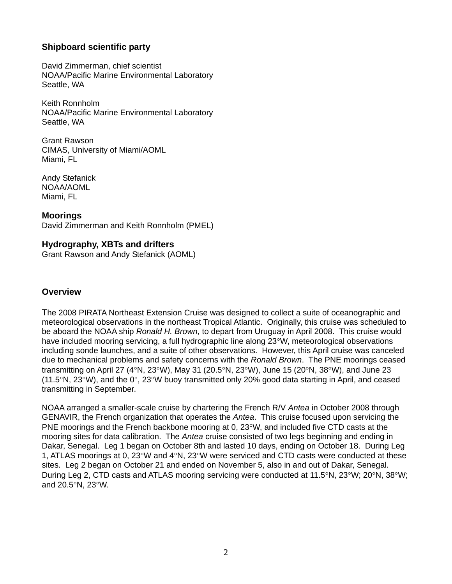# **Shipboard scientific party**

David Zimmerman, chief scientist NOAA/Pacific Marine Environmental Laboratory Seattle, WA

Keith Ronnholm NOAA/Pacific Marine Environmental Laboratory Seattle, WA

Grant Rawson CIMAS, University of Miami/AOML Miami, FL

Andy Stefanick NOAA/AOML Miami, FL

**Moorings**  David Zimmerman and Keith Ronnholm (PMEL)

# **Hydrography, XBTs and drifters**

Grant Rawson and Andy Stefanick (AOML)

## **Overview**

The 2008 PIRATA Northeast Extension Cruise was designed to collect a suite of oceanographic and meteorological observations in the northeast Tropical Atlantic. Originally, this cruise was scheduled to be aboard the NOAA ship *Ronald H. Brown*, to depart from Uruguay in April 2008. This cruise would have included mooring servicing, a full hydrographic line along 23°W, meteorological observations including sonde launches, and a suite of other observations. However, this April cruise was canceled due to mechanical problems and safety concerns with the *Ronald Brown*. The PNE moorings ceased transmitting on April 27 (4°N, 23°W), May 31 (20.5°N, 23°W), June 15 (20°N, 38°W), and June 23  $(11.5\textdegree N, 23\textdegree W)$ , and the 0°, 23°W buoy transmitted only 20% good data starting in April, and ceased transmitting in September.

NOAA arranged a smaller-scale cruise by chartering the French R/V *Antea* in October 2008 through GENAVIR, the French organization that operates the *Antea*. This cruise focused upon servicing the PNE moorings and the French backbone mooring at 0, 23°W, and included five CTD casts at the mooring sites for data calibration. The *Antea* cruise consisted of two legs beginning and ending in Dakar, Senegal. Leg 1 began on October 8th and lasted 10 days, ending on October 18. During Leg 1, ATLAS moorings at 0, 23°W and 4°N, 23°W were serviced and CTD casts were conducted at these sites. Leg 2 began on October 21 and ended on November 5, also in and out of Dakar, Senegal. During Leg 2, CTD casts and ATLAS mooring servicing were conducted at 11.5°N, 23°W; 20°N, 38°W; and 20.5°N, 23°W.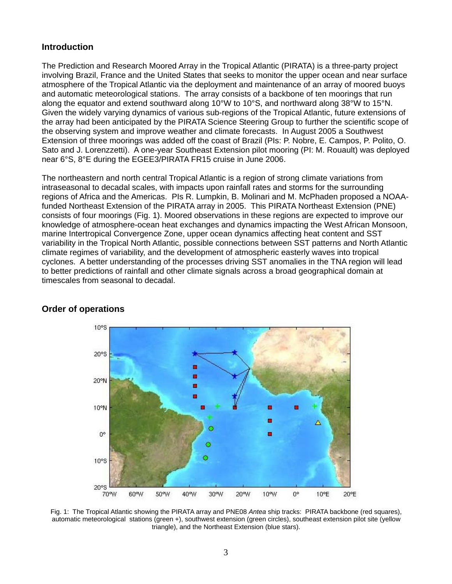## **Introduction**

The Prediction and Research Moored Array in the Tropical Atlantic (PIRATA) is a three-party project involving Brazil, France and the United States that seeks to monitor the upper ocean and near surface atmosphere of the Tropical Atlantic via the deployment and maintenance of an array of moored buoys and automatic meteorological stations. The array consists of a backbone of ten moorings that run along the equator and extend southward along 10°W to 10°S, and northward along 38°W to 15°N. Given the widely varying dynamics of various sub-regions of the Tropical Atlantic, future extensions of the array had been anticipated by the PIRATA Science Steering Group to further the scientific scope of the observing system and improve weather and climate forecasts. In August 2005 a Southwest Extension of three moorings was added off the coast of Brazil (PIs: P. Nobre, E. Campos, P. Polito, O. Sato and J. Lorenzzetti). A one-year Southeast Extension pilot mooring (PI: M. Rouault) was deployed near 6°S, 8°E during the EGEE3/PIRATA FR15 cruise in June 2006.

The northeastern and north central Tropical Atlantic is a region of strong climate variations from intraseasonal to decadal scales, with impacts upon rainfall rates and storms for the surrounding regions of Africa and the Americas. PIs R. Lumpkin, B. Molinari and M. McPhaden proposed a NOAAfunded Northeast Extension of the PIRATA array in 2005. This PIRATA Northeast Extension (PNE) consists of four moorings (Fig. 1). Moored observations in these regions are expected to improve our knowledge of atmosphere-ocean heat exchanges and dynamics impacting the West African Monsoon, marine Intertropical Convergence Zone, upper ocean dynamics affecting heat content and SST variability in the Tropical North Atlantic, possible connections between SST patterns and North Atlantic climate regimes of variability, and the development of atmospheric easterly waves into tropical cyclones. A better understanding of the processes driving SST anomalies in the TNA region will lead to better predictions of rainfall and other climate signals across a broad geographical domain at timescales from seasonal to decadal.



## **Order of operations**

Fig. 1: The Tropical Atlantic showing the PIRATA array and PNE08 *Antea* ship tracks: PIRATA backbone (red squares), automatic meteorological stations (green +), southwest extension (green circles), southeast extension pilot site (yellow triangle), and the Northeast Extension (blue stars).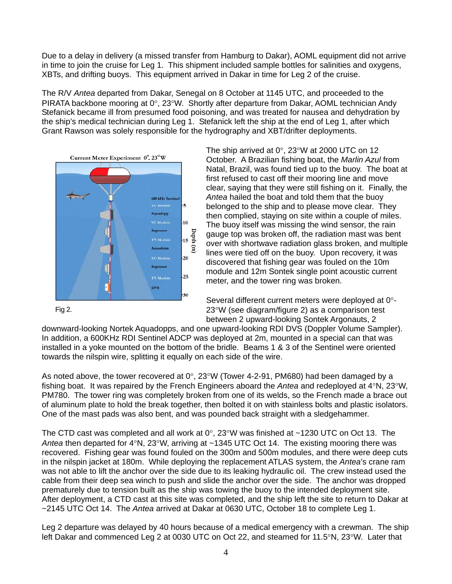Due to a delay in delivery (a missed transfer from Hamburg to Dakar), AOML equipment did not arrive in time to join the cruise for Leg 1. This shipment included sample bottles for salinities and oxygens, XBTs, and drifting buoys. This equipment arrived in Dakar in time for Leg 2 of the cruise.

The R/V *Antea* departed from Dakar, Senegal on 8 October at 1145 UTC, and proceeded to the PIRATA backbone mooring at 0°, 23°W. Shortly after departure from Dakar, AOML technician Andy Stefanick became ill from presumed food poisoning, and was treated for nausea and dehydration by the ship's medical technician during Leg 1. Stefanick left the ship at the end of Leg 1, after which Grant Rawson was solely responsible for the hydrography and XBT/drifter deployments.



Fig 2.

The ship arrived at 0°, 23°W at 2000 UTC on 12 October. A Brazilian fishing boat, the *Marlin Azul* from Natal, Brazil, was found tied up to the buoy. The boat at first refused to cast off their mooring line and move clear, saying that they were still fishing on it. Finally, the *Antea* hailed the boat and told them that the buoy belonged to the ship and to please move clear. They then complied, staying on site within a couple of miles. The buoy itself was missing the wind sensor, the rain gauge top was broken off, the radiation mast was bent over with shortwave radiation glass broken, and multiple lines were tied off on the buoy. Upon recovery, it was discovered that fishing gear was fouled on the 10m module and 12m Sontek single point acoustic current meter, and the tower ring was broken.

Several different current meters were deployed at 0°- 23°W (see diagram/figure 2) as a comparison test between 2 upward-looking Sontek Argonauts, 2

downward-looking Nortek Aquadopps, and one upward-looking RDI DVS (Doppler Volume Sampler). In addition, a 600KHz RDI Sentinel ADCP was deployed at 2m, mounted in a special can that was installed in a yoke mounted on the bottom of the bridle. Beams 1 & 3 of the Sentinel were oriented towards the nilspin wire, splitting it equally on each side of the wire.

As noted above, the tower recovered at  $0^{\circ}$ , 23°W (Tower 4-2-91, PM680) had been damaged by a fishing boat. It was repaired by the French Engineers aboard the *Antea* and redeployed at 4°N, 23°W, PM780. The tower ring was completely broken from one of its welds, so the French made a brace out of aluminum plate to hold the break together, then bolted it on with stainless bolts and plastic isolators. One of the mast pads was also bent, and was pounded back straight with a sledgehammer.

The CTD cast was completed and all work at  $0^{\circ}$ , 23°W was finished at ~1230 UTC on Oct 13. The *Antea* then departed for 4°N, 23°W, arriving at ~1345 UTC Oct 14. The existing mooring there was recovered. Fishing gear was found fouled on the 300m and 500m modules, and there were deep cuts in the nilspin jacket at 180m. While deploying the replacement ATLAS system, the *Antea*'s crane ram was not able to lift the anchor over the side due to its leaking hydraulic oil. The crew instead used the cable from their deep sea winch to push and slide the anchor over the side. The anchor was dropped prematurely due to tension built as the ship was towing the buoy to the intended deployment site. After deployment, a CTD cast at this site was completed, and the ship left the site to return to Dakar at ~2145 UTC Oct 14. The *Antea* arrived at Dakar at 0630 UTC, October 18 to complete Leg 1.

Leg 2 departure was delayed by 40 hours because of a medical emergency with a crewman. The ship left Dakar and commenced Leg 2 at 0030 UTC on Oct 22, and steamed for 11.5°N, 23°W. Later that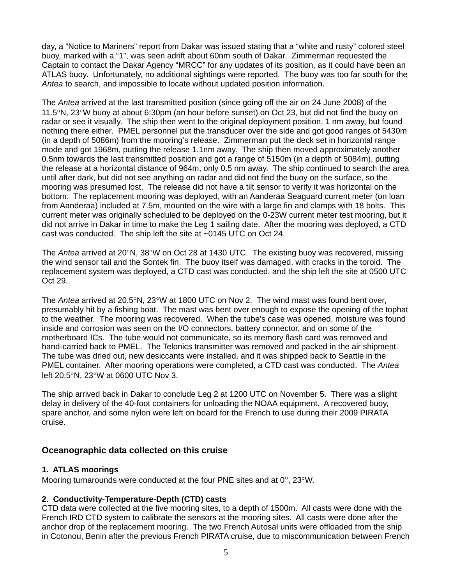day, a "Notice to Mariners" report from Dakar was issued stating that a "white and rusty" colored steel buoy, marked with a "1", was seen adrift about 60nm south of Dakar. Zimmerman requested the Captain to contact the Dakar Agency "MRCC" for any updates of its position, as it could have been an ATLAS buoy. Unfortunately, no additional sightings were reported. The buoy was too far south for the *Antea* to search, and impossible to locate without updated position information.

The *Antea* arrived at the last transmitted position (since going off the air on 24 June 2008) of the 11.5°N, 23°W buoy at about 6:30pm (an hour before sunset) on Oct 23, but did not find the buoy on radar or see it visually. The ship then went to the original deployment position, 1 nm away, but found nothing there either. PMEL personnel put the transducer over the side and got good ranges of 5430m (in a depth of 5086m) from the mooring's release. Zimmerman put the deck set in horizontal range mode and got 1968m, putting the release 1.1nm away. The ship then moved approximately another 0.5nm towards the last transmitted position and got a range of 5150m (in a depth of 5084m), putting the release at a horizontal distance of 964m, only 0.5 nm away. The ship continued to search the area until after dark, but did not see anything on radar and did not find the buoy on the surface, so the mooring was presumed lost. The release did not have a tilt sensor to verify it was horizontal on the bottom. The replacement mooring was deployed, with an Aanderaa Seaguard current meter (on loan from Aanderaa) included at 7.5m, mounted on the wire with a large fin and clamps with 18 bolts. This current meter was originally scheduled to be deployed on the 0-23W current meter test mooring, but it did not arrive in Dakar in time to make the Leg 1 sailing date. After the mooring was deployed, a CTD cast was conducted. The ship left the site at ~0145 UTC on Oct 24.

The *Antea* arrived at 20°N, 38°W on Oct 28 at 1430 UTC. The existing buoy was recovered, missing the wind sensor tail and the Sontek fin. The buoy itself was damaged, with cracks in the toroid. The replacement system was deployed, a CTD cast was conducted, and the ship left the site at 0500 UTC Oct 29.

The *Antea* arrived at 20.5°N, 23°W at 1800 UTC on Nov 2. The wind mast was found bent over, presumably hit by a fishing boat. The mast was bent over enough to expose the opening of the tophat to the weather. The mooring was recovered. When the tube's case was opened, moisture was found inside and corrosion was seen on the I/O connectors, battery connector, and on some of the motherboard ICs. The tube would not communicate, so its memory flash card was removed and hand-carried back to PMEL. The Telonics transmitter was removed and packed in the air shipment. The tube was dried out, new desiccants were installed, and it was shipped back to Seattle in the PMEL container. After mooring operations were completed, a CTD cast was conducted. The *Antea* left 20.5°N, 23°W at 0600 UTC Nov 3.

The ship arrived back in Dakar to conclude Leg 2 at 1200 UTC on November 5. There was a slight delay in delivery of the 40-foot containers for unloading the NOAA equipment. A recovered buoy, spare anchor, and some nylon were left on board for the French to use during their 2009 PIRATA cruise.

## **Oceanographic data collected on this cruise**

#### **1. ATLAS moorings**

Mooring turnarounds were conducted at the four PNE sites and at 0°, 23°W.

#### **2. Conductivity-Temperature-Depth (CTD) casts**

CTD data were collected at the five mooring sites, to a depth of 1500m. All casts were done with the French IRD CTD system to calibrate the sensors at the mooring sites. All casts were done after the anchor drop of the replacement mooring. The two French Autosal units were offloaded from the ship in Cotonou, Benin after the previous French PIRATA cruise, due to miscommunication between French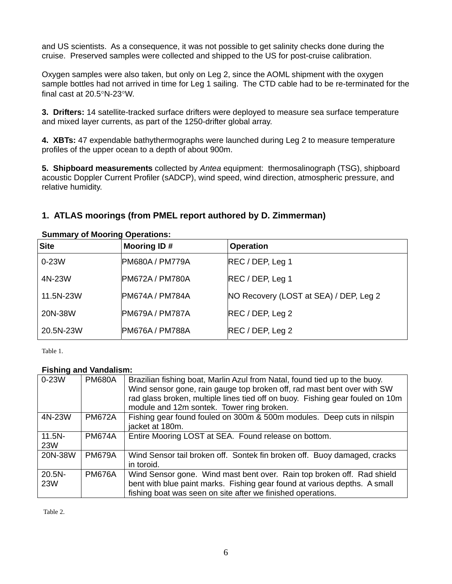and US scientists. As a consequence, it was not possible to get salinity checks done during the cruise. Preserved samples were collected and shipped to the US for post-cruise calibration.

Oxygen samples were also taken, but only on Leg 2, since the AOML shipment with the oxygen sample bottles had not arrived in time for Leg 1 sailing. The CTD cable had to be re-terminated for the final cast at 20.5°N-23°W.

**3. Drifters:** 14 satellite-tracked surface drifters were deployed to measure sea surface temperature and mixed layer currents, as part of the 1250-drifter global array.

**4. XBTs:** 47 expendable bathythermographs were launched during Leg 2 to measure temperature profiles of the upper ocean to a depth of about 900m.

**5. Shipboard measurements** collected by *Antea* equipment: thermosalinograph (TSG), shipboard acoustic Doppler Current Profiler (sADCP), wind speed, wind direction, atmospheric pressure, and relative humidity.

# **1. ATLAS moorings (from PMEL report authored by D. Zimmerman)**

| <b>Cammary of mooring Operations.</b> |                        |                                        |
|---------------------------------------|------------------------|----------------------------------------|
| <b>Site</b>                           | Mooring ID#            | <b>Operation</b>                       |
| $0-23W$                               | <b>PM680A / PM779A</b> | REC / DEP, Leg 1                       |
| 4N-23W                                | <b>PM672A / PM780A</b> | REC / DEP, Leg 1                       |
| 11.5N-23W                             | <b>PM674A / PM784A</b> | NO Recovery (LOST at SEA) / DEP, Leg 2 |
| 20N-38W                               | <b>PM679A / PM787A</b> | REC / DEP, Leg 2                       |
| 20.5N-23W                             | <b>PM676A / PM788A</b> | REC / DEP, Leg 2                       |

**Summary of Mooring Operations:**

Table 1.

## **Fishing and Vandalism:**

| $0-23W$                 | <b>PM680A</b> | Brazilian fishing boat, Marlin Azul from Natal, found tied up to the buoy.<br>Wind sensor gone, rain gauge top broken off, rad mast bent over with SW<br>rad glass broken, multiple lines tied off on buoy. Fishing gear fouled on 10m<br>module and 12m sontek. Tower ring broken. |
|-------------------------|---------------|-------------------------------------------------------------------------------------------------------------------------------------------------------------------------------------------------------------------------------------------------------------------------------------|
| 4N-23W                  | <b>PM672A</b> | Fishing gear found fouled on 300m & 500m modules. Deep cuts in nilspin<br>jacket at 180m.                                                                                                                                                                                           |
| $11.5N -$<br><b>23W</b> | <b>PM674A</b> | Entire Mooring LOST at SEA. Found release on bottom.                                                                                                                                                                                                                                |
| 20N-38W                 | <b>PM679A</b> | Wind Sensor tail broken off. Sontek fin broken off. Buoy damaged, cracks<br>in toroid.                                                                                                                                                                                              |
| $20.5N -$<br><b>23W</b> | <b>PM676A</b> | Wind Sensor gone. Wind mast bent over. Rain top broken off. Rad shield<br>bent with blue paint marks. Fishing gear found at various depths. A small<br>fishing boat was seen on site after we finished operations.                                                                  |

Table 2.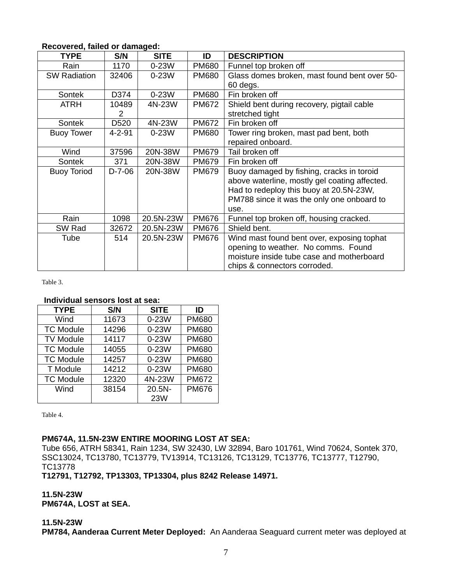| <b>TYPE</b>         | S/N              | <b>SITE</b> | ID           | <b>DESCRIPTION</b>                            |
|---------------------|------------------|-------------|--------------|-----------------------------------------------|
| Rain                | 1170             | 0-23W       | <b>PM680</b> | Funnel top broken off                         |
| <b>SW Radiation</b> | 32406            | $0-23W$     | <b>PM680</b> | Glass domes broken, mast found bent over 50-  |
|                     |                  |             |              | 60 degs.                                      |
| <b>Sontek</b>       | D374             | $0-23W$     | <b>PM680</b> | Fin broken off                                |
| <b>ATRH</b>         | 10489            | 4N-23W      | <b>PM672</b> | Shield bent during recovery, pigtail cable    |
|                     | 2                |             |              | stretched tight                               |
| Sontek              | D <sub>520</sub> | 4N-23W      | <b>PM672</b> | Fin broken off                                |
| <b>Buoy Tower</b>   | $4 - 2 - 91$     | $0-23W$     | <b>PM680</b> | Tower ring broken, mast pad bent, both        |
|                     |                  |             |              | repaired onboard.                             |
| Wind                | 37596            | 20N-38W     | <b>PM679</b> | Tail broken off                               |
| <b>Sontek</b>       | 371              | 20N-38W     | <b>PM679</b> | Fin broken off                                |
| <b>Buoy Toriod</b>  | $D-7-06$         | 20N-38W     | <b>PM679</b> | Buoy damaged by fishing, cracks in toroid     |
|                     |                  |             |              | above waterline, mostly gel coating affected. |
|                     |                  |             |              | Had to redeploy this buoy at 20.5N-23W,       |
|                     |                  |             |              | PM788 since it was the only one onboard to    |
|                     |                  |             |              | use.                                          |
| Rain                | 1098             | 20.5N-23W   | <b>PM676</b> | Funnel top broken off, housing cracked.       |
| SW Rad              | 32672            | 20.5N-23W   | <b>PM676</b> | Shield bent.                                  |
| Tube                | 514              | 20.5N-23W   | <b>PM676</b> | Wind mast found bent over, exposing tophat    |
|                     |                  |             |              | opening to weather. No comms. Found           |
|                     |                  |             |              | moisture inside tube case and motherboard     |
|                     |                  |             |              | chips & connectors corroded.                  |

## **Recovered, failed or damaged:**

Table 3.

#### **Individual sensors lost at sea:**

| <b>TYPE</b>      | S/N   | <b>SITE</b> | ID           |
|------------------|-------|-------------|--------------|
| Wind             | 11673 | $0-23W$     | <b>PM680</b> |
| <b>TC Module</b> | 14296 | $0-23W$     | <b>PM680</b> |
| <b>TV Module</b> | 14117 | $0-23W$     | <b>PM680</b> |
| <b>TC Module</b> | 14055 | $0-23W$     | <b>PM680</b> |
| <b>TC Module</b> | 14257 | $0-23W$     | <b>PM680</b> |
| T Module         | 14212 | $0-23W$     | <b>PM680</b> |
| <b>TC Module</b> | 12320 | 4N-23W      | <b>PM672</b> |
| Wind             | 38154 | $20.5N -$   | <b>PM676</b> |
|                  |       | 23W         |              |

Table 4.

## **PM674A, 11.5N-23W ENTIRE MOORING LOST AT SEA:**

Tube 656, ATRH 58341, Rain 1234, SW 32430, LW 32894, Baro 101761, Wind 70624, Sontek 370, SSC13024, TC13780, TC13779, TV13914, TC13126, TC13129, TC13776, TC13777, T12790, TC13778

**T12791, T12792, TP13303, TP13304, plus 8242 Release 14971.** 

**11.5N-23W PM674A, LOST at SEA.**

#### **11.5N-23W**

**PM784, Aanderaa Current Meter Deployed:** An Aanderaa Seaguard current meter was deployed at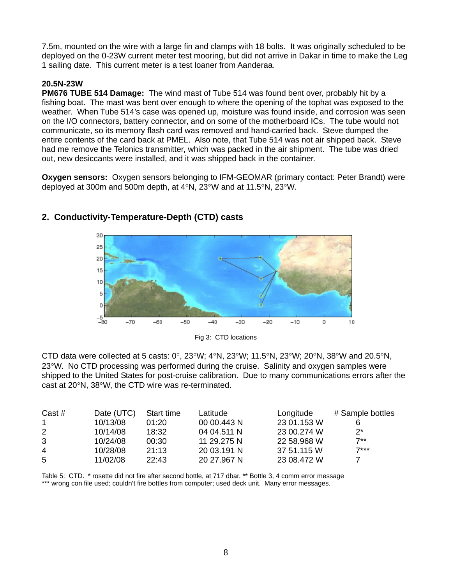7.5m, mounted on the wire with a large fin and clamps with 18 bolts. It was originally scheduled to be deployed on the 0-23W current meter test mooring, but did not arrive in Dakar in time to make the Leg 1 sailing date. This current meter is a test loaner from Aanderaa.

## **20.5N-23W**

**PM676 TUBE 514 Damage:** The wind mast of Tube 514 was found bent over, probably hit by a fishing boat. The mast was bent over enough to where the opening of the tophat was exposed to the weather. When Tube 514's case was opened up, moisture was found inside, and corrosion was seen on the I/O connectors, battery connector, and on some of the motherboard ICs. The tube would not communicate, so its memory flash card was removed and hand-carried back. Steve dumped the entire contents of the card back at PMEL. Also note, that Tube 514 was not air shipped back. Steve had me remove the Telonics transmitter, which was packed in the air shipment. The tube was dried out, new desiccants were installed, and it was shipped back in the container.

**Oxygen sensors:** Oxygen sensors belonging to IFM-GEOMAR (primary contact: Peter Brandt) were deployed at 300m and 500m depth, at 4°N, 23°W and at 11.5°N, 23°W.



# **2. Conductivity-Temperature-Depth (CTD) casts**

Fig 3: CTD locations

CTD data were collected at 5 casts:  $0^{\circ}$ , 23°W; 4°N, 23°W; 11.5°N, 23°W; 20°N, 38°W and 20.5°N, 23°W. No CTD processing was performed during the cruise. Salinity and oxygen samples were shipped to the United States for post-cruise calibration. Due to many communications errors after the cast at 20°N, 38°W, the CTD wire was re-terminated.

| Cast #       | Date (UTC) | Start time | Latitude    | Longitude   | # Sample bottles |
|--------------|------------|------------|-------------|-------------|------------------|
| $\mathbf{1}$ | 10/13/08   | 01:20      | 00 00.443 N | 23 01.153 W |                  |
| 2            | 10/14/08   | 18:32      | 04 04.511 N | 23 00.274 W | ク*               |
| 3            | 10/24/08   | 00:30      | 11 29.275 N | 22 58,968 W | $7**$            |
| 4            | 10/28/08   | 21:13      | 20 03.191 N | 37 51.115 W | $7***$           |
| 5            | 11/02/08   | 22:43      | 20 27.967 N | 23 08.472 W |                  |

Table 5: CTD. \* rosette did not fire after second bottle, at 717 dbar. \*\* Bottle 3, 4 comm error message \*\*\* wrong con file used; couldn't fire bottles from computer; used deck unit. Many error messages.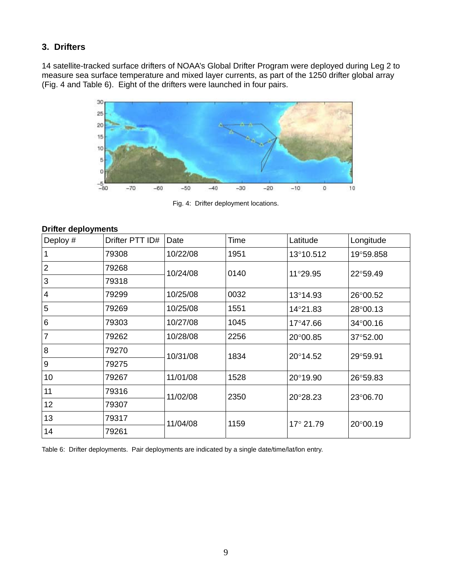# **3. Drifters**

14 satellite-tracked surface drifters of NOAA's Global Drifter Program were deployed during Leg 2 to measure sea surface temperature and mixed layer currents, as part of the 1250 drifter global array (Fig. 4 and Table 6). Eight of the drifters were launched in four pairs.



Fig. 4: Drifter deployment locations.

## **Drifter deployments**

| Deploy #       | Drifter PTT ID# | Date     | Time | Latitude  | Longitude |
|----------------|-----------------|----------|------|-----------|-----------|
|                | 79308           | 10/22/08 | 1951 | 13°10.512 | 19°59.858 |
| $\overline{2}$ | 79268           | 10/24/08 | 0140 | 11°29.95  | 22°59.49  |
| 3              | 79318           |          |      |           |           |
| 4              | 79299           | 10/25/08 | 0032 | 13°14.93  | 26°00.52  |
| 5              | 79269           | 10/25/08 | 1551 | 14°21.83  | 28°00.13  |
| 6              | 79303           | 10/27/08 | 1045 | 17°47.66  | 34°00.16  |
| 7              | 79262           | 10/28/08 | 2256 | 20°00.85  | 37°52.00  |
| 8              | 79270           | 10/31/08 | 1834 | 20°14.52  | 29°59.91  |
| 9              | 79275           |          |      |           |           |
| 10             | 79267           | 11/01/08 | 1528 | 20°19.90  | 26°59.83  |
| 11             | 79316           | 11/02/08 | 2350 | 20°28.23  | 23°06.70  |
| 12             | 79307           |          |      |           |           |
| 13             | 79317           | 11/04/08 | 1159 | 17° 21.79 | 20°00.19  |
| 14             | 79261           |          |      |           |           |

Table 6: Drifter deployments. Pair deployments are indicated by a single date/time/lat/lon entry.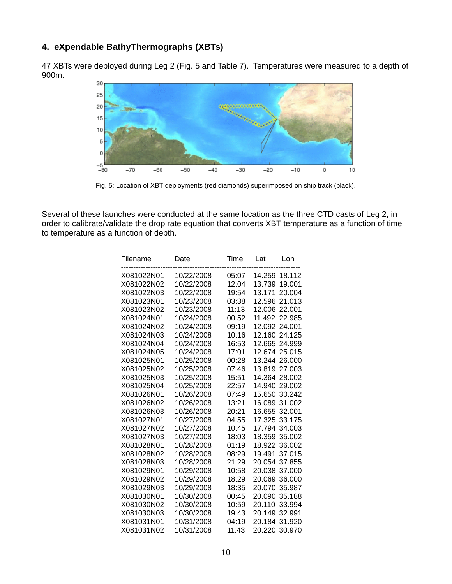# **4. eXpendable BathyThermographs (XBTs)**

47 XBTs were deployed during Leg 2 (Fig. 5 and Table 7). Temperatures were measured to a depth of 900m.



Fig. 5: Location of XBT deployments (red diamonds) superimposed on ship track (black).

Several of these launches were conducted at the same location as the three CTD casts of Leg 2, in order to calibrate/validate the drop rate equation that converts XBT temperature as a function of time to temperature as a function of depth.

| Filename   | Date       | Time  | Lat<br>Lon       |
|------------|------------|-------|------------------|
| X081022N01 | 10/22/2008 | 05:07 | 14.259 18.112    |
| X081022N02 | 10/22/2008 | 12:04 | 13.739<br>19.001 |
| X081022N03 | 10/22/2008 | 19:54 | 13.171<br>20.004 |
| X081023N01 | 10/23/2008 | 03:38 | 21.013<br>12.596 |
| X081023N02 | 10/23/2008 | 11:13 | 12.006<br>22.001 |
| X081024N01 | 10/24/2008 | 00:52 | 11.492<br>22.985 |
| X081024N02 | 10/24/2008 | 09:19 | 12.092<br>24.001 |
| X081024N03 | 10/24/2008 | 10:16 | 12.160 24.125    |
| X081024N04 | 10/24/2008 | 16:53 | 12.665 24.999    |
| X081024N05 | 10/24/2008 | 17:01 | 12.674 25.015    |
| X081025N01 | 10/25/2008 | 00:28 | 13.244<br>26.000 |
| X081025N02 | 10/25/2008 | 07:46 | 13.819 27.003    |
| X081025N03 | 10/25/2008 | 15:51 | 14.364 28.002    |
| X081025N04 | 10/25/2008 | 22:57 | 14.940 29.002    |
| X081026N01 | 10/26/2008 | 07:49 | 30.242<br>15.650 |
| X081026N02 | 10/26/2008 | 13:21 | 16.089<br>31.002 |
| X081026N03 | 10/26/2008 | 20:21 | 16.655<br>32.001 |
| X081027N01 | 10/27/2008 | 04:55 | 17.325<br>33.175 |
| X081027N02 | 10/27/2008 | 10:45 | 17.794<br>34.003 |
| X081027N03 | 10/27/2008 | 18:03 | 18.359<br>35.002 |
| X081028N01 | 10/28/2008 | 01:19 | 18.922<br>36.002 |
| X081028N02 | 10/28/2008 | 08:29 | 19.491<br>37.015 |
| X081028N03 | 10/28/2008 | 21:29 | 20.054<br>37.855 |
| X081029N01 | 10/29/2008 | 10:58 | 37.000<br>20.038 |
| X081029N02 | 10/29/2008 | 18:29 | 20.069<br>36,000 |
| X081029N03 | 10/29/2008 | 18:35 | 20.070<br>35.987 |
| X081030N01 | 10/30/2008 | 00:45 | 20.090<br>35.188 |
| X081030N02 | 10/30/2008 | 10:59 | 20.110<br>33.994 |
| X081030N03 | 10/30/2008 | 19:43 | 20.149<br>32.991 |
| X081031N01 | 10/31/2008 | 04:19 | 20.184<br>31.920 |
| X081031N02 | 10/31/2008 | 11:43 | 20.220<br>30.970 |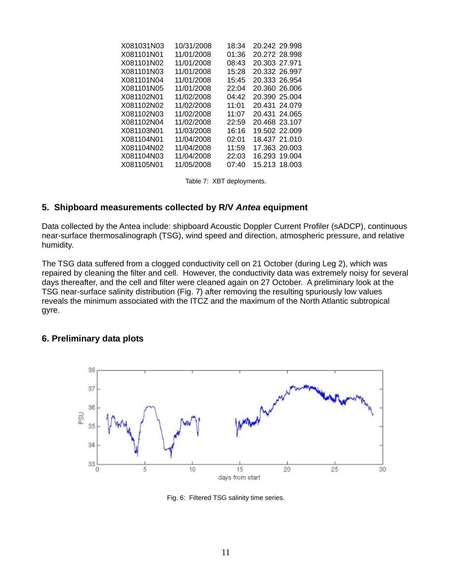| X081031N03 | 10/31/2008 | 18:34 | 20.242 29.998 |
|------------|------------|-------|---------------|
| X081101N01 | 11/01/2008 | 01:36 | 20.272 28.998 |
| X081101N02 | 11/01/2008 | 08:43 | 20.303 27.971 |
| X081101N03 | 11/01/2008 | 15:28 | 20.332 26.997 |
| X081101N04 | 11/01/2008 | 15:45 | 20.333 26.954 |
| X081101N05 | 11/01/2008 | 22:04 | 20.360 26.006 |
| X081102N01 | 11/02/2008 | 04:42 | 20.390 25.004 |
| X081102N02 | 11/02/2008 | 11:01 | 20.431 24.079 |
| X081102N03 | 11/02/2008 | 11:07 | 20.431 24.065 |
| X081102N04 | 11/02/2008 | 22:59 | 20.468 23.107 |
| X081103N01 | 11/03/2008 | 16:16 | 19.502 22.009 |
| X081104N01 | 11/04/2008 | 02:01 | 18.437 21.010 |
| X081104N02 | 11/04/2008 | 11:59 | 17.363 20.003 |
| X081104N03 | 11/04/2008 | 22:03 | 16.293 19.004 |
| X081105N01 | 11/05/2008 | 07:40 | 15.213 18.003 |

Table 7: XBT deployments.

## **5. Shipboard measurements collected by R/V** *Antea* **equipment**

Data collected by the Antea include: shipboard Acoustic Doppler Current Profiler (sADCP), continuous near-surface thermosalinograph (TSG), wind speed and direction, atmospheric pressure, and relative humidity.

The TSG data suffered from a clogged conductivity cell on 21 October (during Leg 2), which was repaired by cleaning the filter and cell. However, the conductivity data was extremely noisy for several days thereafter, and the cell and filter were cleaned again on 27 October. A preliminary look at the TSG near-surface salinity distribution (Fig. 7) after removing the resulting spuriously low values reveals the minimum associated with the ITCZ and the maximum of the North Atlantic subtropical gyre.

## **6. Preliminary data plots**



Fig. 6: Filtered TSG salinity time series.